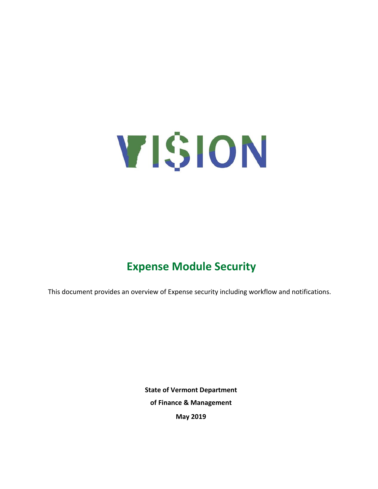

# **Expense Module Security**

This document provides an overview of Expense security including workflow and notifications.

**State of Vermont Department of Finance & Management May 2019**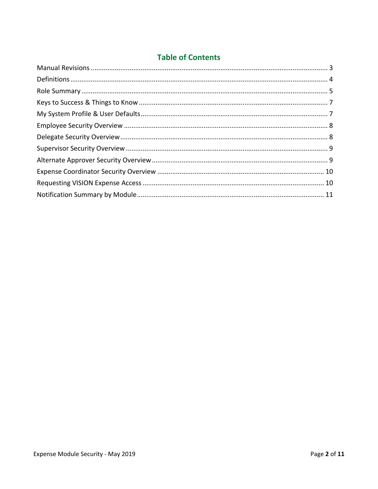### **Table of Contents**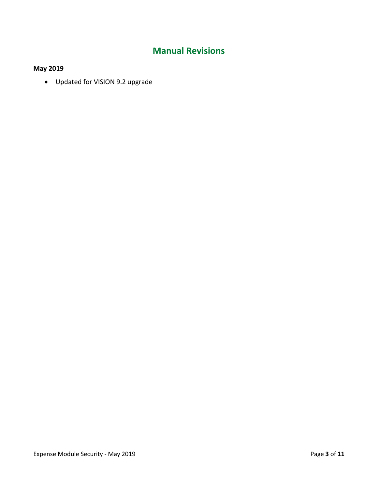# **Manual Revisions**

### <span id="page-2-0"></span>**May 2019**

• Updated for VISION 9.2 upgrade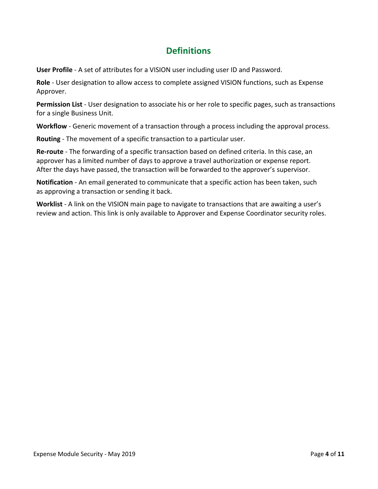# **Definitions**

<span id="page-3-0"></span>**User Profile** - A set of attributes for a VISION user including user ID and Password.

**Role** - User designation to allow access to complete assigned VISION functions, such as Expense Approver.

**Permission List** - User designation to associate his or her role to specific pages, such as transactions for a single Business Unit.

**Workflow** - Generic movement of a transaction through a process including the approval process.

**Routing** - The movement of a specific transaction to a particular user.

**Re-route** - The forwarding of a specific transaction based on defined criteria. In this case, an approver has a limited number of days to approve a travel authorization or expense report. After the days have passed, the transaction will be forwarded to the approver's supervisor.

**Notification** - An email generated to communicate that a specific action has been taken, such as approving a transaction or sending it back.

**Worklist** - A link on the VISION main page to navigate to transactions that are awaiting a user's review and action. This link is only available to Approver and Expense Coordinator security roles.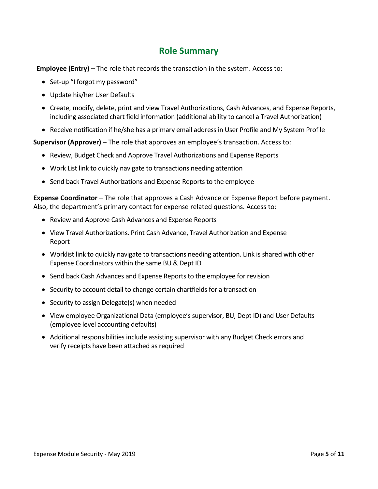### **Role Summary**

<span id="page-4-0"></span>**Employee (Entry)** – The role that records the transaction in the system. Access to:

- Set-up "I forgot my password"
- Update his/her User Defaults
- Create, modify, delete, print and view Travel Authorizations, Cash Advances, and Expense Reports, including associated chart field information (additional ability to cancel a Travel Authorization)
- Receive notification if he/she has a primary email address in User Profile and My System Profile

**Supervisor (Approver)** – The role that approves an employee's transaction. Access to:

- Review, Budget Check and Approve Travel Authorizations and Expense Reports
- Work List link to quickly navigate to transactions needing attention
- Send back Travel Authorizations and Expense Reports to the employee

**Expense Coordinator** – The role that approves a Cash Advance or Expense Report before payment. Also, the department's primary contact for expense related questions. Access to:

- Review and Approve Cash Advances and Expense Reports
- View Travel Authorizations. Print Cash Advance, Travel Authorization and Expense Report
- Worklist link to quickly navigate to transactions needing attention. Link is shared with other Expense Coordinators within the same BU & Dept ID
- Send back Cash Advances and Expense Reports to the employee for revision
- Security to account detail to change certain chartfields for a transaction
- Security to assign Delegate(s) when needed
- View employee Organizational Data (employee's supervisor, BU, Dept ID) and User Defaults (employee level accounting defaults)
- Additional responsibilities include assisting supervisor with any Budget Check errors and verify receipts have been attached as required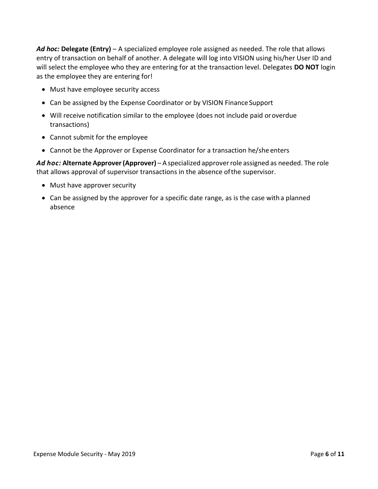*Ad hoc:* **Delegate (Entry)** – A specialized employee role assigned as needed. The role that allows entry of transaction on behalf of another. A delegate will log into VISION using his/her User ID and will select the employee who they are entering for at the transaction level. Delegates **DO NOT** login as the employee they are entering for!

- Must have employee security access
- Can be assigned by the Expense Coordinator or by VISION Finance Support
- Will receive notification similar to the employee (does not include paid oroverdue transactions)
- Cannot submit for the employee
- Cannot be the Approver or Expense Coordinator for a transaction he/she enters

*Ad hoc:* **Alternate Approver(Approver)** – A specialized approverrole assigned as needed. The role that allows approval of supervisor transactions in the absence ofthe supervisor.

- Must have approver security
- Can be assigned by the approver for a specific date range, as is the case witha planned absence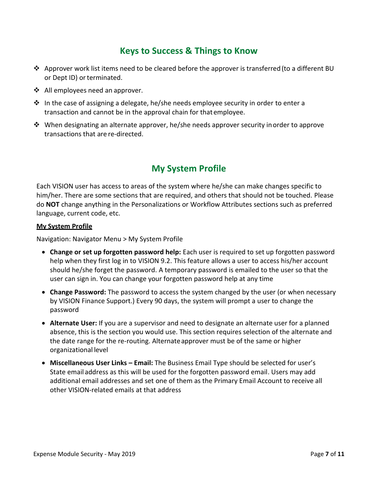### **Keys to Success & Things to Know**

- <span id="page-6-0"></span>❖ Approver work list items need to be cleared before the approver is transferred(to a different BU or Dept ID) or terminated.
- ❖ All employees need an approver.
- $\div$  In the case of assigning a delegate, he/she needs employee security in order to enter a transaction and cannot be in the approval chain for that employee.
- ❖ When designating an alternate approver, he/she needs approver security inorder to approve transactions that are re-directed.

# **My System Profile**

<span id="page-6-1"></span>Each VISION user has access to areas of the system where he/she can make changes specific to him/her. There are some sections that are required, and others that should not be touched. Please do **NOT** change anything in the Personalizations or Workflow Attributes sections such as preferred language, current code, etc.

#### **My System Profile**

Navigation: Navigator Menu > My System Profile

- **Change or set up forgotten password help:** Each user is required to set up forgotten password help when they first log in to VISION 9.2. This feature allows a user to access his/her account should he/she forget the password. A temporary password is emailed to the user so that the user can sign in. You can change your forgotten password help at any time
- **Change Password:** The password to access the system changed by the user (or when necessary by VISION Finance Support.) Every 90 days, the system will prompt a user to change the password
- **Alternate User:** If you are a supervisor and need to designate an alternate user for a planned absence, this is the section you would use. This section requires selection of the alternate and the date range for the re-routing. Alternateapprover must be of the same or higher organizational level
- **Miscellaneous User Links – Email:** The Business Email Type should be selected for user's State email address as this will be used for the forgotten password email. Users may add additional email addresses and set one of them as the Primary Email Account to receive all other VISION-related emails at that address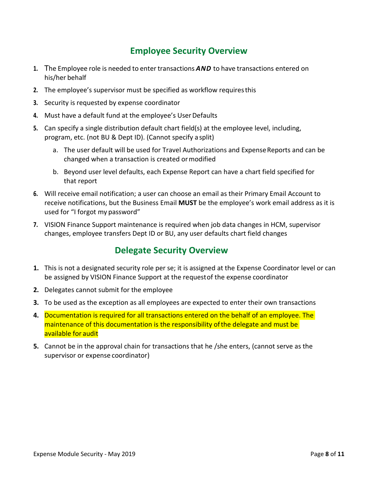### **Employee Security Overview**

- <span id="page-7-0"></span>**1.** The Employee role is needed to enter transactions *AND* to have transactions entered on his/her behalf
- **2.** The employee's supervisor must be specified as workflow requiresthis
- **3.** Security is requested by expense coordinator
- **4.** Must have a default fund at the employee's UserDefaults
- **5.** Can specify a single distribution default chart field(s) at the employee level, including, program, etc. (not BU & Dept ID). (Cannot specify a split)
	- a. The user default will be used for Travel Authorizations and Expense Reports and can be changed when a transaction is created ormodified
	- b. Beyond user level defaults, each Expense Report can have a chart field specified for that report
- **6.** Will receive email notification; a user can choose an email as their Primary Email Account to receive notifications, but the Business Email **MUST** be the employee's work email address as it is used for "I forgot my password"
- <span id="page-7-1"></span>**7.** VISION Finance Support maintenance is required when job data changes in HCM, supervisor changes, employee transfers Dept ID or BU, any user defaults chart field changes

### **Delegate Security Overview**

- **1.** This is not a designated security role per se; it is assigned at the Expense Coordinator level or can be assigned by VISION Finance Support at the requestof the expense coordinator
- **2.** Delegates cannot submit for the employee
- **3.** To be used as the exception as all employees are expected to enter their own transactions
- **4.** Documentation is required for all transactions entered on the behalf of an employee. The maintenance of this documentation is the responsibility ofthe delegate and must be available for audit
- **5.** Cannot be in the approval chain for transactions that he /she enters, (cannot serve as the supervisor or expense coordinator)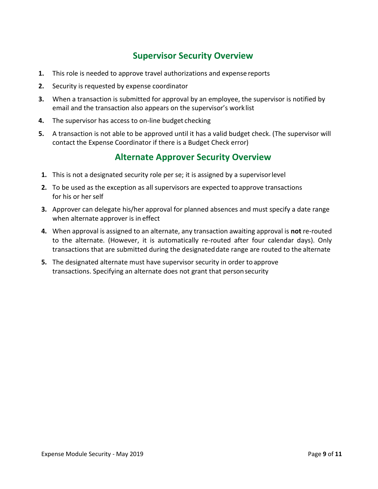### **Supervisor Security Overview**

- <span id="page-8-0"></span>**1.** This role is needed to approve travel authorizations and expense reports
- **2.** Security is requested by expense coordinator
- **3.** When a transaction is submitted for approval by an employee, the supervisor is notified by email and the transaction also appears on the supervisor's worklist
- **4.** The supervisor has access to on-line budget checking
- **5.** A transaction is not able to be approved until it has a valid budget check. (The supervisor will contact the Expense Coordinator if there is a Budget Check error)

### **Alternate Approver Security Overview**

- <span id="page-8-1"></span>**1.** This is not a designated security role per se; it is assigned by a supervisorlevel
- **2.** To be used as the exception as all supervisors are expected to approve transactions for his or her self
- **3.** Approver can delegate his/her approval for planned absences and must specify a date range when alternate approver is in effect
- **4.** When approval is assigned to an alternate, any transaction awaiting approval is **not** re-routed to the alternate. (However, it is automatically re-routed after four calendar days). Only transactions that are submitted during the designateddate range are routed to the alternate
- **5.** The designated alternate must have supervisor security in order toapprove transactions. Specifying an alternate does not grant that personsecurity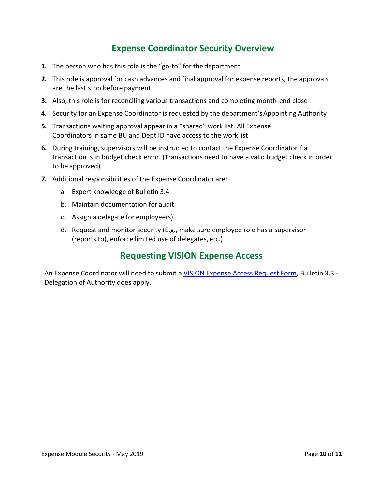# **Expense Coordinator Security Overview**

- <span id="page-9-0"></span>**1.** The person who has this role is the "go-to" for the department
- **2.** This role is approval for cash advances and final approval for expense reports, the approvals are the last stop before payment
- **3.** Also, this role is for reconciling various transactions and completing month-end close
- **4.** Security for an Expense Coordinator is requested by the department'sAppointing Authority
- **5.** Transactions waiting approval appear in a "shared" work list. All Expense Coordinators in same BU and Dept ID have access to the work list
- **6.** During training, supervisors will be instructed to contact the Expense Coordinatorif a transaction is in budget check error. (Transactions need to have a valid budget check in order to be approved)
- **7.** Additional responsibilities of the Expense Coordinator are:
	- a. Expert knowledge of Bulletin 3.4
	- b. Maintain documentation for audit
	- c. Assign a delegate for employee(s)
	- d. Request and monitor security (E.g., make sure employee role has a supervisor (reports to), enforce limited use of delegates, etc.)

### **Requesting VISION Expense Access**

<span id="page-9-1"></span>An Expense Coordinator will need to submit a [VISION Expense Access Request Form,](https://finance.vermont.gov/sites/finance/files/documents/9-2_Upgrade/VISION_Expense_Access_Request_Form_Guide.pdf) Bulletin 3.3 -Delegation of Authority does apply.